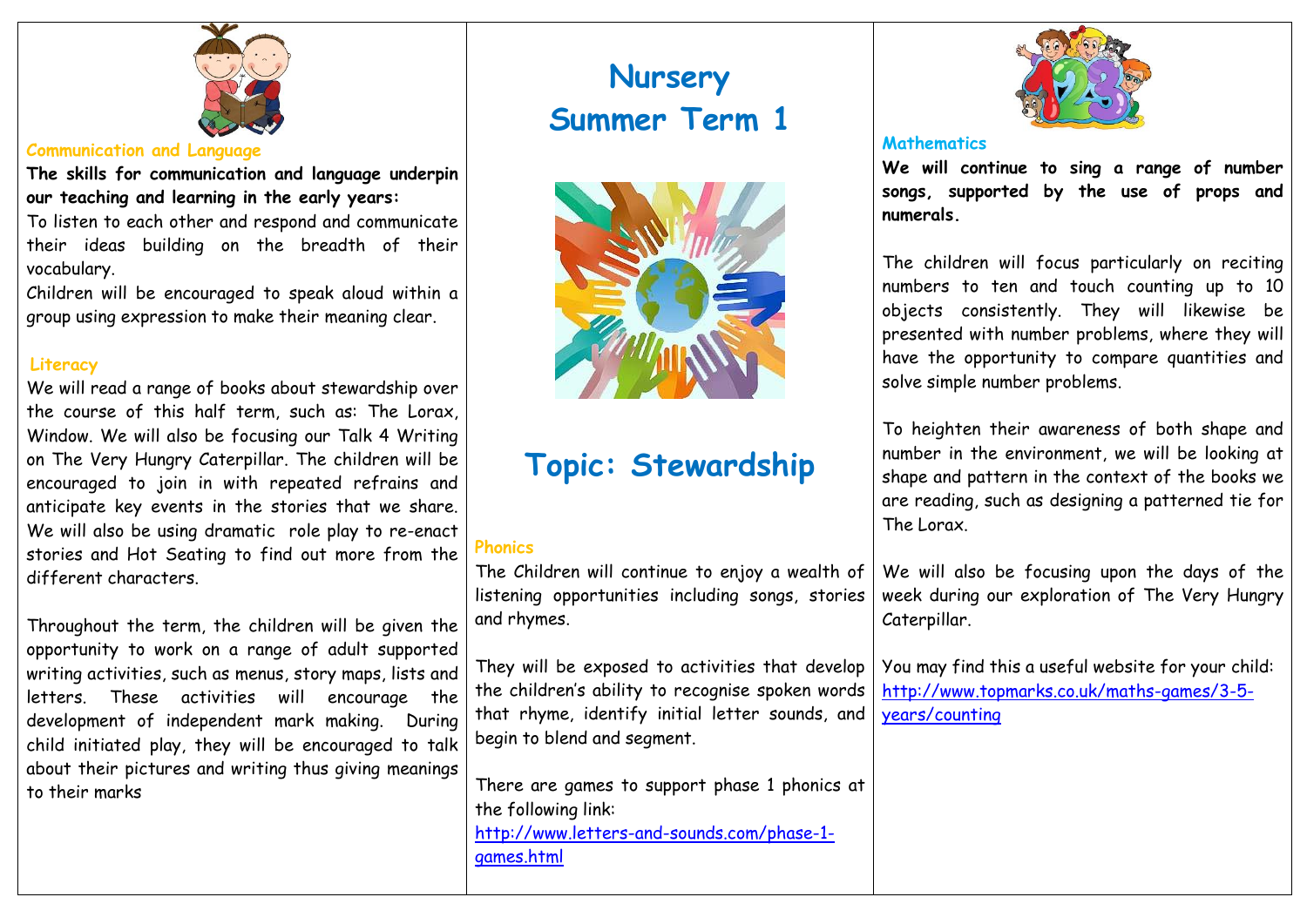

### **Communication and Language**

**The skills for communication and language underpin our teaching and learning in the early years:**

To listen to each other and respond and communicate their ideas building on the breadth of their vocabulary.

Children will be encouraged to speak aloud within a group using expression to make their meaning clear.

## **Literacy**

We will read a range of books about stewardship over the course of this half term, such as: The Lorax, Window. We will also be focusing our Talk 4 Writing on The Very Hungry Caterpillar. The children will be encouraged to join in with repeated refrains and anticipate key events in the stories that we share. We will also be using dramatic role play to re-enact stories and Hot Seating to find out more from the different characters.

Throughout the term, the children will be given the opportunity to work on a range of adult supported writing activities, such as menus, story maps, lists and letters. These activities will encourage the development of independent mark making. During child initiated play, they will be encouraged to talk about their pictures and writing thus giving meanings to their marks

# **Nursery Summer Term 1**



# **Topic: Stewardship**

# **Phonics**

The Children will continue to enjoy a wealth of listening opportunities including songs, stories and rhymes.

They will be exposed to activities that develop the children's ability to recognise spoken words that rhyme, identify initial letter sounds, and begin to blend and segment.

There are games to support phase 1 phonics at the following link: [http://www.letters-and-sounds.com/phase-1](http://www.letters-and-sounds.com/phase-1-games.html) [games.html](http://www.letters-and-sounds.com/phase-1-games.html)



# **Mathematics**

**We will continue to sing a range of number songs, supported by the use of props and numerals.** 

The children will focus particularly on reciting numbers to ten and touch counting up to 10 objects consistently. They will likewise be presented with number problems, where they will have the opportunity to compare quantities and solve simple number problems.

To heighten their awareness of both shape and number in the environment, we will be looking at shape and pattern in the context of the books we are reading, such as designing a patterned tie for The Lorax.

We will also be focusing upon the days of the week during our exploration of The Very Hungry Caterpillar.

You may find this a useful website for your child: [http://www.topmarks.co.uk/maths-games/3-5](http://www.topmarks.co.uk/maths-games/3-5-years/counting) [years/counting](http://www.topmarks.co.uk/maths-games/3-5-years/counting)